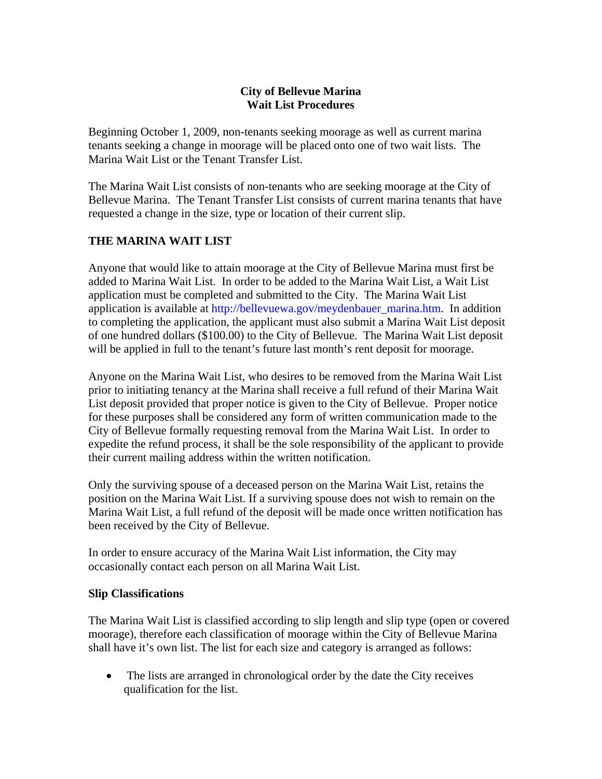## **City of Bellevue Marina Wait List Procedures**

Beginning October 1, 2009, non-tenants seeking moorage as well as current marina tenants seeking a change in moorage will be placed onto one of two wait lists. The Marina Wait List or the Tenant Transfer List.

The Marina Wait List consists of non-tenants who are seeking moorage at the City of Bellevue Marina. The Tenant Transfer List consists of current marina tenants that have requested a change in the size, type or location of their current slip.

## **THE MARINA WAIT LIST**

Anyone that would like to attain moorage at the City of Bellevue Marina must first be added to Marina Wait List. In order to be added to the Marina Wait List, a Wait List application must be completed and submitted to the City. The Marina Wait List application is available at [http://bellevuewa.gov/meydenbauer\\_marina.htm.](http://bellevuewa.gov/meydenbauer_marina.htm) In addition to completing the application, the applicant must also submit a Marina Wait List deposit of one hundred dollars (\$100.00) to the City of Bellevue. The Marina Wait List deposit will be applied in full to the tenant's future last month's rent deposit for moorage.

Anyone on the Marina Wait List, who desires to be removed from the Marina Wait List prior to initiating tenancy at the Marina shall receive a full refund of their Marina Wait List deposit provided that proper notice is given to the City of Bellevue. Proper notice for these purposes shall be considered any form of written communication made to the City of Bellevue formally requesting removal from the Marina Wait List. In order to expedite the refund process, it shall be the sole responsibility of the applicant to provide their current mailing address within the written notification.

Only the surviving spouse of a deceased person on the Marina Wait List, retains the position on the Marina Wait List. If a surviving spouse does not wish to remain on the Marina Wait List, a full refund of the deposit will be made once written notification has been received by the City of Bellevue.

In order to ensure accuracy of the Marina Wait List information, the City may occasionally contact each person on all Marina Wait List.

#### **Slip Classifications**

The Marina Wait List is classified according to slip length and slip type (open or covered moorage), therefore each classification of moorage within the City of Bellevue Marina shall have it's own list. The list for each size and category is arranged as follows:

• The lists are arranged in chronological order by the date the City receives qualification for the list.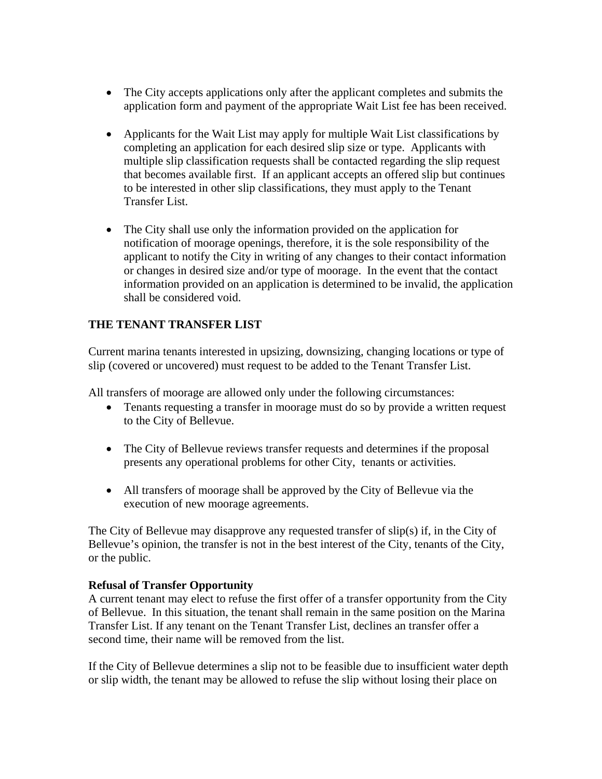- The City accepts applications only after the applicant completes and submits the application form and payment of the appropriate Wait List fee has been received.
- Applicants for the Wait List may apply for multiple Wait List classifications by completing an application for each desired slip size or type. Applicants with multiple slip classification requests shall be contacted regarding the slip request that becomes available first. If an applicant accepts an offered slip but continues to be interested in other slip classifications, they must apply to the Tenant Transfer List.
- The City shall use only the information provided on the application for notification of moorage openings, therefore, it is the sole responsibility of the applicant to notify the City in writing of any changes to their contact information or changes in desired size and/or type of moorage. In the event that the contact information provided on an application is determined to be invalid, the application shall be considered void.

# **THE TENANT TRANSFER LIST**

Current marina tenants interested in upsizing, downsizing, changing locations or type of slip (covered or uncovered) must request to be added to the Tenant Transfer List.

All transfers of moorage are allowed only under the following circumstances:

- Tenants requesting a transfer in moorage must do so by provide a written request to the City of Bellevue.
- The City of Bellevue reviews transfer requests and determines if the proposal presents any operational problems for other City, tenants or activities.
- All transfers of moorage shall be approved by the City of Bellevue via the execution of new moorage agreements.

The City of Bellevue may disapprove any requested transfer of slip(s) if, in the City of Bellevue's opinion, the transfer is not in the best interest of the City, tenants of the City, or the public.

#### **Refusal of Transfer Opportunity**

A current tenant may elect to refuse the first offer of a transfer opportunity from the City of Bellevue. In this situation, the tenant shall remain in the same position on the Marina Transfer List. If any tenant on the Tenant Transfer List, declines an transfer offer a second time, their name will be removed from the list.

If the City of Bellevue determines a slip not to be feasible due to insufficient water depth or slip width, the tenant may be allowed to refuse the slip without losing their place on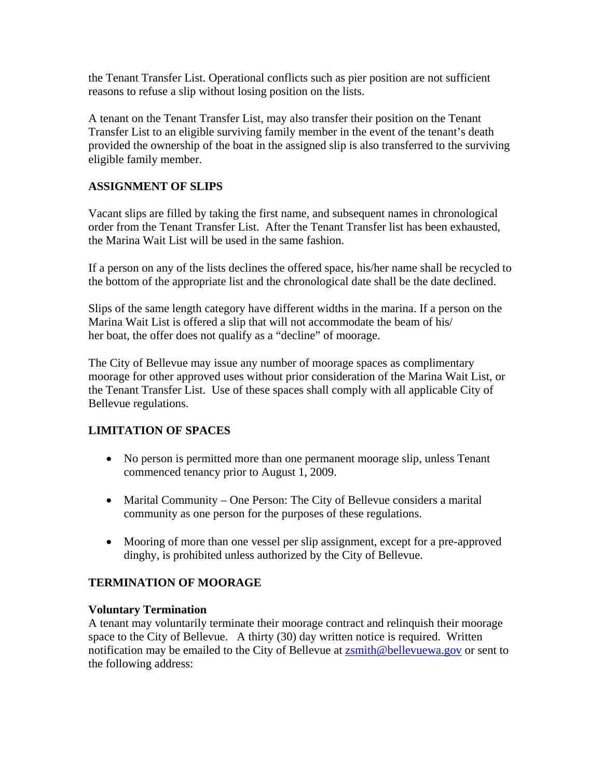the Tenant Transfer List. Operational conflicts such as pier position are not sufficient reasons to refuse a slip without losing position on the lists.

A tenant on the Tenant Transfer List, may also transfer their position on the Tenant Transfer List to an eligible surviving family member in the event of the tenant's death provided the ownership of the boat in the assigned slip is also transferred to the surviving eligible family member.

### **ASSIGNMENT OF SLIPS**

Vacant slips are filled by taking the first name, and subsequent names in chronological order from the Tenant Transfer List. After the Tenant Transfer list has been exhausted, the Marina Wait List will be used in the same fashion.

If a person on any of the lists declines the offered space, his/her name shall be recycled to the bottom of the appropriate list and the chronological date shall be the date declined.

Slips of the same length category have different widths in the marina. If a person on the Marina Wait List is offered a slip that will not accommodate the beam of his/ her boat, the offer does not qualify as a "decline" of moorage.

The City of Bellevue may issue any number of moorage spaces as complimentary moorage for other approved uses without prior consideration of the Marina Wait List, or the Tenant Transfer List. Use of these spaces shall comply with all applicable City of Bellevue regulations.

# **LIMITATION OF SPACES**

- No person is permitted more than one permanent moorage slip, unless Tenant commenced tenancy prior to August 1, 2009.
- Marital Community One Person: The City of Bellevue considers a marital community as one person for the purposes of these regulations.
- Mooring of more than one vessel per slip assignment, except for a pre-approved dinghy, is prohibited unless authorized by the City of Bellevue.

# **TERMINATION OF MOORAGE**

#### **Voluntary Termination**

A tenant may voluntarily terminate their moorage contract and relinquish their moorage space to the City of Bellevue. A thirty (30) day written notice is required. Written notification may be emailed to the City of Bellevue at [zsmith@bellevuewa.gov](mailto:zsmith@bellevuewa.gov) or sent to the following address: